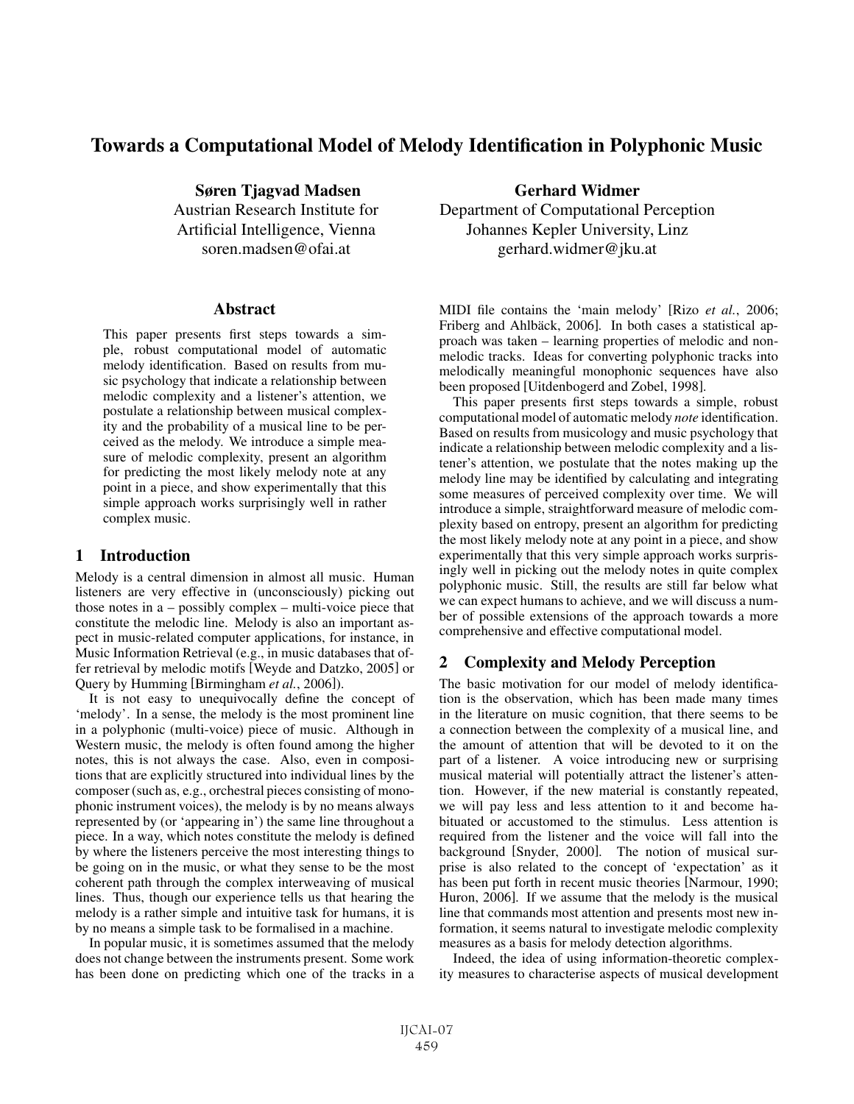# Towards a Computational Model of Melody Identification in Polyphonic Music

Søren Tjagvad Madsen Austrian Research Institute for Artificial Intelligence, Vienna soren.madsen@ofai.at

## **Abstract**

This paper presents first steps towards a simple, robust computational model of automatic melody identification. Based on results from music psychology that indicate a relationship between melodic complexity and a listener's attention, we postulate a relationship between musical complexity and the probability of a musical line to be perceived as the melody. We introduce a simple measure of melodic complexity, present an algorithm for predicting the most likely melody note at any point in a piece, and show experimentally that this simple approach works surprisingly well in rather complex music.

## 1 Introduction

Melody is a central dimension in almost all music. Human listeners are very effective in (unconsciously) picking out those notes in a – possibly complex – multi-voice piece that constitute the melodic line. Melody is also an important aspect in music-related computer applications, for instance, in Music Information Retrieval (e.g., in music databases that offer retrieval by melodic motifs [Weyde and Datzko, 2005] or Query by Humming [Birmingham *et al.*, 2006]).

It is not easy to unequivocally define the concept of 'melody'. In a sense, the melody is the most prominent line in a polyphonic (multi-voice) piece of music. Although in Western music, the melody is often found among the higher notes, this is not always the case. Also, even in compositions that are explicitly structured into individual lines by the composer (such as, e.g., orchestral pieces consisting of monophonic instrument voices), the melody is by no means always represented by (or 'appearing in') the same line throughout a piece. In a way, which notes constitute the melody is defined by where the listeners perceive the most interesting things to be going on in the music, or what they sense to be the most coherent path through the complex interweaving of musical lines. Thus, though our experience tells us that hearing the melody is a rather simple and intuitive task for humans, it is by no means a simple task to be formalised in a machine.

In popular music, it is sometimes assumed that the melody does not change between the instruments present. Some work has been done on predicting which one of the tracks in a

Gerhard Widmer Department of Computational Perception Johannes Kepler University, Linz gerhard.widmer@jku.at

MIDI file contains the 'main melody' [Rizo *et al.*, 2006; Friberg and Ahlbäck, 2006]. In both cases a statistical approach was taken – learning properties of melodic and nonmelodic tracks. Ideas for converting polyphonic tracks into melodically meaningful monophonic sequences have also been proposed [Uitdenbogerd and Zobel, 1998].

This paper presents first steps towards a simple, robust computational model of automatic melody *note* identification. Based on results from musicology and music psychology that indicate a relationship between melodic complexity and a listener's attention, we postulate that the notes making up the melody line may be identified by calculating and integrating some measures of perceived complexity over time. We will introduce a simple, straightforward measure of melodic complexity based on entropy, present an algorithm for predicting the most likely melody note at any point in a piece, and show experimentally that this very simple approach works surprisingly well in picking out the melody notes in quite complex polyphonic music. Still, the results are still far below what we can expect humans to achieve, and we will discuss a number of possible extensions of the approach towards a more comprehensive and effective computational model.

## 2 Complexity and Melody Perception

The basic motivation for our model of melody identification is the observation, which has been made many times in the literature on music cognition, that there seems to be a connection between the complexity of a musical line, and the amount of attention that will be devoted to it on the part of a listener. A voice introducing new or surprising musical material will potentially attract the listener's attention. However, if the new material is constantly repeated, we will pay less and less attention to it and become habituated or accustomed to the stimulus. Less attention is required from the listener and the voice will fall into the background [Snyder, 2000]. The notion of musical surprise is also related to the concept of 'expectation' as it has been put forth in recent music theories [Narmour, 1990; Huron, 2006]. If we assume that the melody is the musical line that commands most attention and presents most new information, it seems natural to investigate melodic complexity measures as a basis for melody detection algorithms.

Indeed, the idea of using information-theoretic complexity measures to characterise aspects of musical development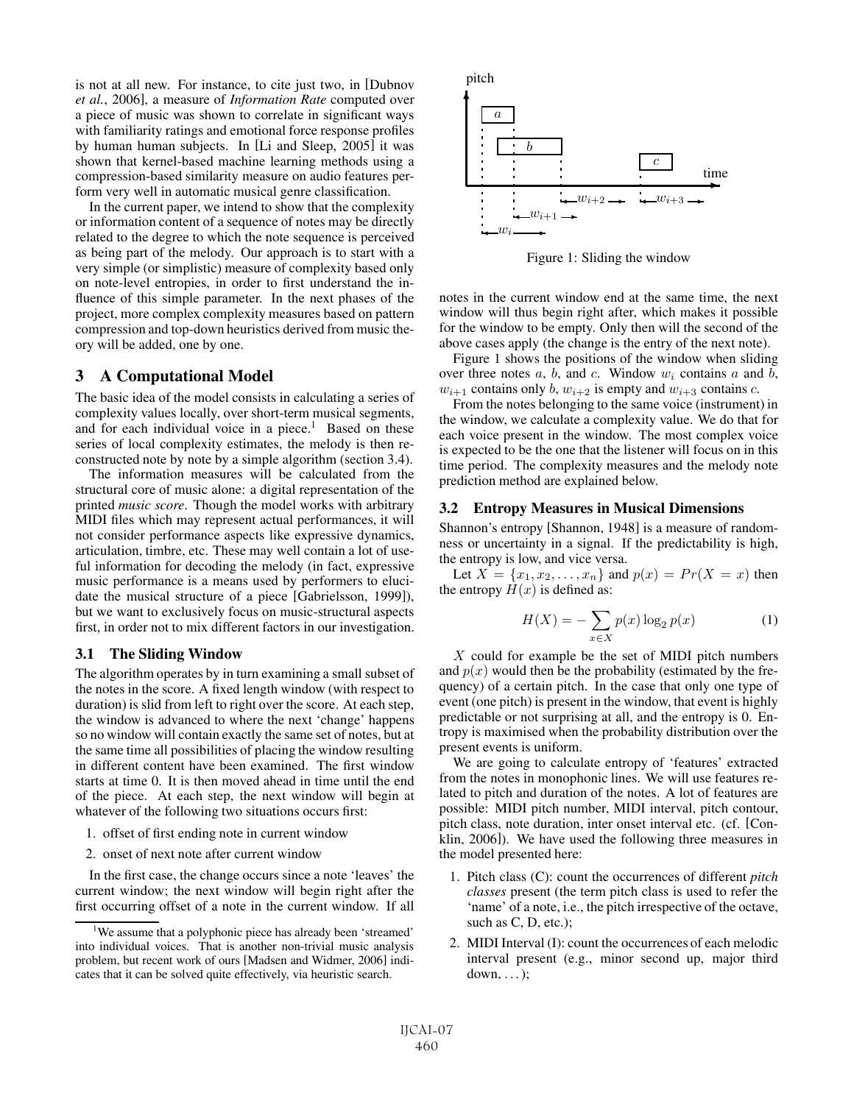is not at all new. For instance, to cite just two, in [Dubnov *et al.*, 2006], a measure of *Information Rate* computed over a piece of music was shown to correlate in significant ways with familiarity ratings and emotional force response profiles by human human subjects. In [Li and Sleep, 2005] it was shown that kernel-based machine learning methods using a compression-based similarity measure on audio features perform very well in automatic musical genre classification.

In the current paper, we intend to show that the complexity or information content of a sequence of notes may be directly related to the degree to which the note sequence is perceived as being part of the melody. Our approach is to start with a very simple (or simplistic) measure of complexity based only on note-level entropies, in order to first understand the influence of this simple parameter. In the next phases of the project, more complex complexity measures based on pattern compression and top-down heuristics derived from music theory will be added, one by one.

## 3 A Computational Model

The basic idea of the model consists in calculating a series of complexity values locally, over short-term musical segments, and for each individual voice in a piece.<sup>1</sup> Based on these series of local complexity estimates, the melody is then reconstructed note by note by a simple algorithm (section 3.4).

The information measures will be calculated from the structural core of music alone: a digital representation of the printed *music score*. Though the model works with arbitrary MIDI files which may represent actual performances, it will not consider performance aspects like expressive dynamics, articulation, timbre, etc. These may well contain a lot of useful information for decoding the melody (in fact, expressive music performance is a means used by performers to elucidate the musical structure of a piece [Gabrielsson, 1999]), but we want to exclusively focus on music-structural aspects first, in order not to mix different factors in our investigation.

#### 3.1 The Sliding Window

The algorithm operates by in turn examining a small subset of the notes in the score. A fixed length window (with respect to duration) is slid from left to right over the score. At each step, the window is advanced to where the next 'change' happens so no window will contain exactly the same set of notes, but at the same time all possibilities of placing the window resulting in different content have been examined. The first window starts at time 0. It is then moved ahead in time until the end of the piece. At each step, the next window will begin at whatever of the following two situations occurs first:

- 1. offset of first ending note in current window
- 2. onset of next note after current window

In the first case, the change occurs since a note 'leaves' the current window; the next window will begin right after the first occurring offset of a note in the current window. If all



Figure 1: Sliding the window

notes in the current window end at the same time, the next window will thus begin right after, which makes it possible for the window to be empty. Only then will the second of the above cases apply (the change is the entry of the next note).

Figure 1 shows the positions of the window when sliding over three notes  $a, b$ , and  $c$ . Window  $w_i$  contains  $a$  and  $b$ ,  $w_{i+1}$  contains only b,  $w_{i+2}$  is empty and  $w_{i+3}$  contains c.

From the notes belonging to the same voice (instrument) in the window, we calculate a complexity value. We do that for each voice present in the window. The most complex voice is expected to be the one that the listener will focus on in this time period. The complexity measures and the melody note prediction method are explained below.

#### 3.2 Entropy Measures in Musical Dimensions

Shannon's entropy [Shannon, 1948] is a measure of randomness or uncertainty in a signal. If the predictability is high, the entropy is low, and vice versa.

Let  $X = \{x_1, x_2, ..., x_n\}$  and  $p(x) = Pr(X = x)$  then the entropy  $H(x)$  is defined as:

$$
H(X) = -\sum_{x \in X} p(x) \log_2 p(x) \tag{1}
$$

 $X$  could for example be the set of MIDI pitch numbers and  $p(x)$  would then be the probability (estimated by the frequency) of a certain pitch. In the case that only one type of event (one pitch) is present in the window, that event is highly predictable or not surprising at all, and the entropy is 0. Entropy is maximised when the probability distribution over the present events is uniform.

We are going to calculate entropy of 'features' extracted from the notes in monophonic lines. We will use features related to pitch and duration of the notes. A lot of features are possible: MIDI pitch number, MIDI interval, pitch contour, pitch class, note duration, inter onset interval etc. (cf. [Conklin, 2006]). We have used the following three measures in the model presented here:

- 1. Pitch class (C): count the occurrences of different *pitch classes* present (the term pitch class is used to refer the 'name' of a note, i.e., the pitch irrespective of the octave, such as C, D, etc.);
- 2. MIDI Interval (I): count the occurrences of each melodic interval present (e.g., minor second up, major third  $down, \ldots);$

<sup>&</sup>lt;sup>1</sup>We assume that a polyphonic piece has already been 'streamed' into individual voices. That is another non-trivial music analysis problem, but recent work of ours [Madsen and Widmer, 2006] indicates that it can be solved quite effectively, via heuristic search.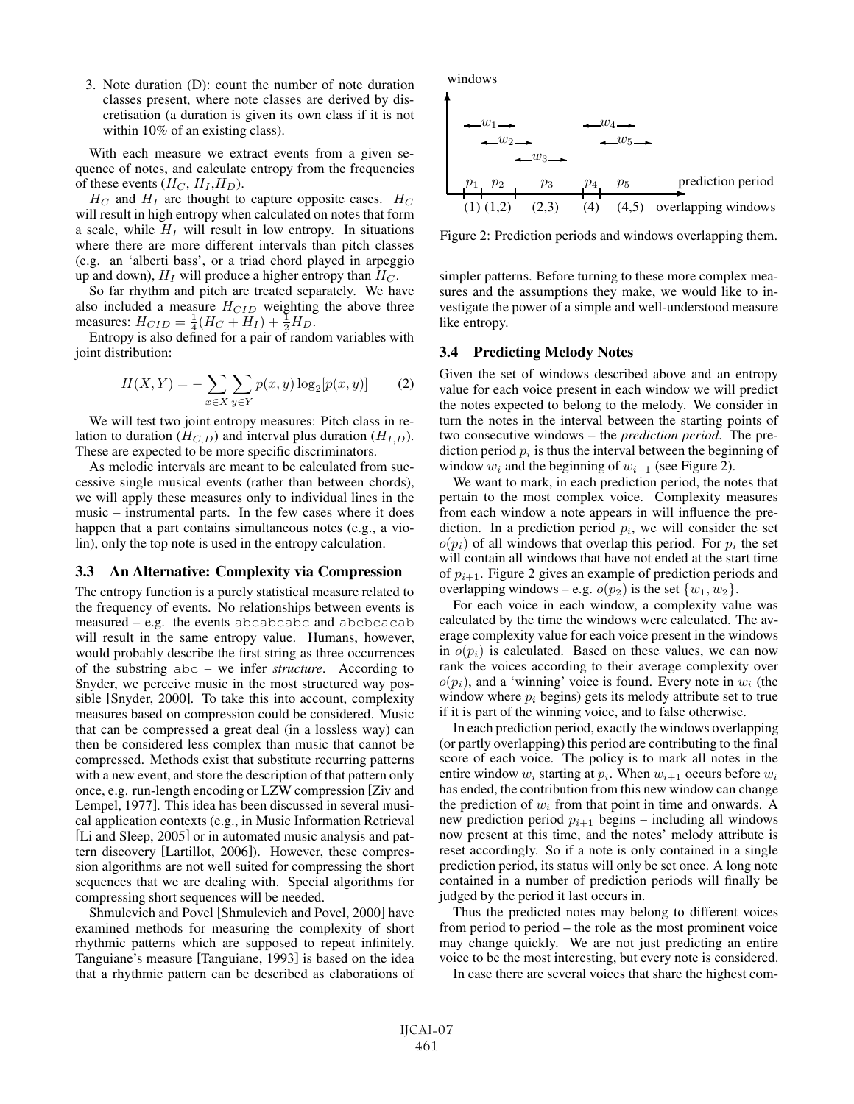3. Note duration (D): count the number of note duration classes present, where note classes are derived by discretisation (a duration is given its own class if it is not within 10% of an existing class).

With each measure we extract events from a given sequence of notes, and calculate entropy from the frequencies of these events  $(H_C, H_I, H_D)$ .

 $H_C$  and  $H_I$  are thought to capture opposite cases.  $H_C$ will result in high entropy when calculated on notes that form a scale, while  $H_I$  will result in low entropy. In situations where there are more different intervals than pitch classes (e.g. an 'alberti bass', or a triad chord played in arpeggio up and down),  $H_I$  will produce a higher entropy than  $H_C$ .

So far rhythm and pitch are treated separately. We have also included a measure  $H_{CID}$  weighting the above three measures:  $H_{CID} = \frac{1}{4}(H_C + H_I) + \frac{1}{2}H_D$ .<br>Fuerony is also defined for a pair of rand

Entropy is also defined for a pair of random variables with joint distribution:

$$
H(X,Y) = -\sum_{x \in X} \sum_{y \in Y} p(x,y) \log_2[p(x,y)]
$$
 (2)

We will test two joint entropy measures: Pitch class in relation to duration ( $H_{C,D}$ ) and interval plus duration ( $H_{I,D}$ ). These are expected to be more specific discriminators.

As melodic intervals are meant to be calculated from successive single musical events (rather than between chords), we will apply these measures only to individual lines in the music – instrumental parts. In the few cases where it does happen that a part contains simultaneous notes (e.g., a violin), only the top note is used in the entropy calculation.

#### 3.3 An Alternative: Complexity via Compression

The entropy function is a purely statistical measure related to the frequency of events. No relationships between events is measured – e.g. the events abcabcabc and abcbcacab will result in the same entropy value. Humans, however, would probably describe the first string as three occurrences of the substring abc – we infer *structure*. According to Snyder, we perceive music in the most structured way possible [Snyder, 2000]. To take this into account, complexity measures based on compression could be considered. Music that can be compressed a great deal (in a lossless way) can then be considered less complex than music that cannot be compressed. Methods exist that substitute recurring patterns with a new event, and store the description of that pattern only once, e.g. run-length encoding or LZW compression [Ziv and Lempel, 1977]. This idea has been discussed in several musical application contexts (e.g., in Music Information Retrieval [Li and Sleep, 2005] or in automated music analysis and pattern discovery [Lartillot, 2006]). However, these compression algorithms are not well suited for compressing the short sequences that we are dealing with. Special algorithms for compressing short sequences will be needed.

Shmulevich and Povel [Shmulevich and Povel, 2000] have examined methods for measuring the complexity of short rhythmic patterns which are supposed to repeat infinitely. Tanguiane's measure [Tanguiane, 1993] is based on the idea that a rhythmic pattern can be described as elaborations of windows



Figure 2: Prediction periods and windows overlapping them.

simpler patterns. Before turning to these more complex measures and the assumptions they make, we would like to investigate the power of a simple and well-understood measure like entropy.

#### 3.4 Predicting Melody Notes

Given the set of windows described above and an entropy value for each voice present in each window we will predict the notes expected to belong to the melody. We consider in turn the notes in the interval between the starting points of two consecutive windows – the *prediction period*. The prediction period  $p_i$  is thus the interval between the beginning of window  $w_i$  and the beginning of  $w_{i+1}$  (see Figure 2).

We want to mark, in each prediction period, the notes that pertain to the most complex voice. Complexity measures from each window a note appears in will influence the prediction. In a prediction period  $p_i$ , we will consider the set  $o(p_i)$  of all windows that overlap this period. For  $p_i$  the set will contain all windows that have not ended at the start time of  $p_{i+1}$ . Figure 2 gives an example of prediction periods and overlapping windows – e.g.  $o(p_2)$  is the set  $\{w_1, w_2\}$ .

For each voice in each window, a complexity value was calculated by the time the windows were calculated. The average complexity value for each voice present in the windows in  $o(p_i)$  is calculated. Based on these values, we can now rank the voices according to their average complexity over  $o(p_i)$ , and a 'winning' voice is found. Every note in  $w_i$  (the window where  $p_i$  begins) gets its melody attribute set to true if it is part of the winning voice, and to false otherwise.

In each prediction period, exactly the windows overlapping (or partly overlapping) this period are contributing to the final score of each voice. The policy is to mark all notes in the entire window  $w_i$  starting at  $p_i$ . When  $w_{i+1}$  occurs before  $w_i$ has ended, the contribution from this new window can change the prediction of  $w_i$  from that point in time and onwards. A new prediction period  $p_{i+1}$  begins – including all windows now present at this time, and the notes' melody attribute is reset accordingly. So if a note is only contained in a single prediction period, its status will only be set once. A long note contained in a number of prediction periods will finally be judged by the period it last occurs in.

Thus the predicted notes may belong to different voices from period to period – the role as the most prominent voice may change quickly. We are not just predicting an entire voice to be the most interesting, but every note is considered.

In case there are several voices that share the highest com-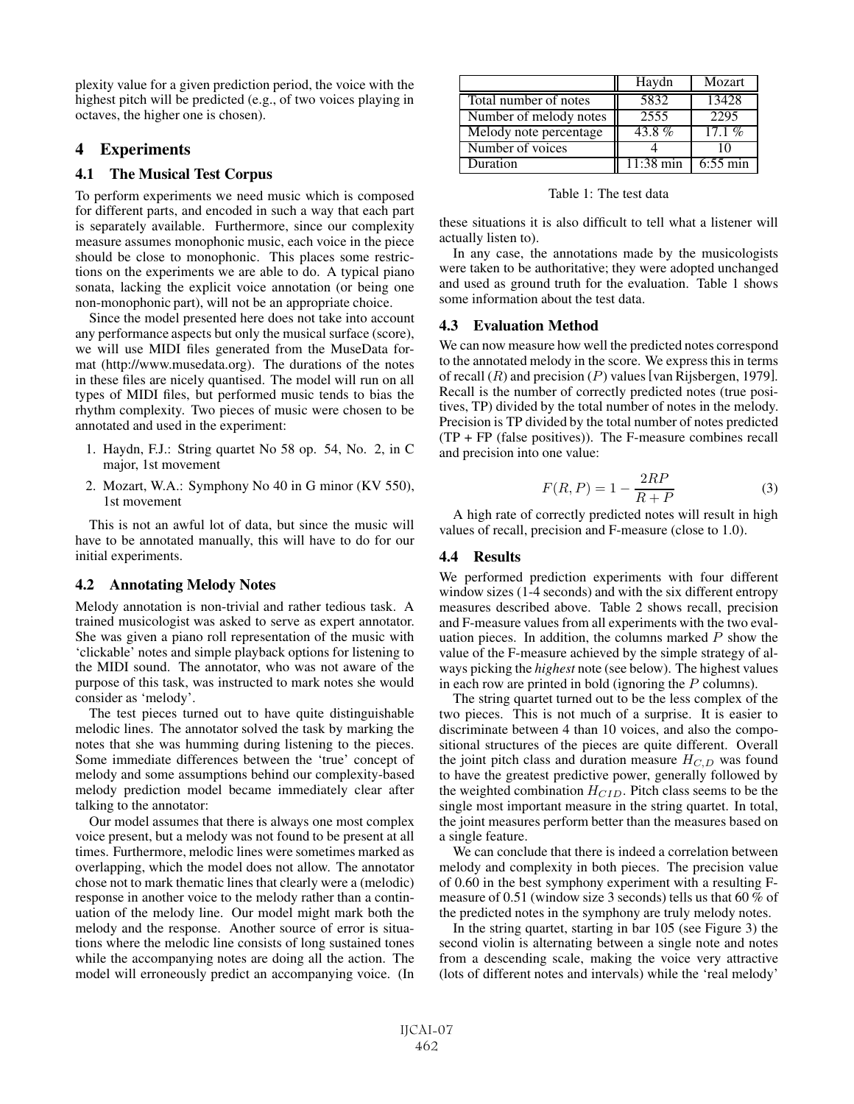plexity value for a given prediction period, the voice with the highest pitch will be predicted (e.g., of two voices playing in octaves, the higher one is chosen).

## 4 Experiments

### 4.1 The Musical Test Corpus

To perform experiments we need music which is composed for different parts, and encoded in such a way that each part is separately available. Furthermore, since our complexity measure assumes monophonic music, each voice in the piece should be close to monophonic. This places some restrictions on the experiments we are able to do. A typical piano sonata, lacking the explicit voice annotation (or being one non-monophonic part), will not be an appropriate choice.

Since the model presented here does not take into account any performance aspects but only the musical surface (score), we will use MIDI files generated from the MuseData format (http://www.musedata.org). The durations of the notes in these files are nicely quantised. The model will run on all types of MIDI files, but performed music tends to bias the rhythm complexity. Two pieces of music were chosen to be annotated and used in the experiment:

- 1. Haydn, F.J.: String quartet No 58 op. 54, No. 2, in C major, 1st movement
- 2. Mozart, W.A.: Symphony No 40 in G minor (KV 550), 1st movement

This is not an awful lot of data, but since the music will have to be annotated manually, this will have to do for our initial experiments.

#### 4.2 Annotating Melody Notes

Melody annotation is non-trivial and rather tedious task. A trained musicologist was asked to serve as expert annotator. She was given a piano roll representation of the music with 'clickable' notes and simple playback options for listening to the MIDI sound. The annotator, who was not aware of the purpose of this task, was instructed to mark notes she would consider as 'melody'.

The test pieces turned out to have quite distinguishable melodic lines. The annotator solved the task by marking the notes that she was humming during listening to the pieces. Some immediate differences between the 'true' concept of melody and some assumptions behind our complexity-based melody prediction model became immediately clear after talking to the annotator:

Our model assumes that there is always one most complex voice present, but a melody was not found to be present at all times. Furthermore, melodic lines were sometimes marked as overlapping, which the model does not allow. The annotator chose not to mark thematic lines that clearly were a (melodic) response in another voice to the melody rather than a continuation of the melody line. Our model might mark both the melody and the response. Another source of error is situations where the melodic line consists of long sustained tones while the accompanying notes are doing all the action. The model will erroneously predict an accompanying voice. (In

|                        | Haydn                 | Mozart             |
|------------------------|-----------------------|--------------------|
| Total number of notes  | 5832                  | 13428              |
| Number of melody notes | 2555                  | 2295               |
| Melody note percentage | $43.8\%$              | 17.1 $%$           |
| Number of voices       |                       | 10                 |
| Duration               | $11:38 \; \text{min}$ | $6:55 \text{ min}$ |

Table 1: The test data

these situations it is also difficult to tell what a listener will actually listen to).

In any case, the annotations made by the musicologists were taken to be authoritative; they were adopted unchanged and used as ground truth for the evaluation. Table 1 shows some information about the test data.

#### 4.3 Evaluation Method

We can now measure how well the predicted notes correspond to the annotated melody in the score. We express this in terms of recall  $(R)$  and precision  $(P)$  values [van Rijsbergen, 1979]. Recall is the number of correctly predicted notes (true positives, TP) divided by the total number of notes in the melody. Precision is TP divided by the total number of notes predicted  $(TP + FP)$  (false positives)). The F-measure combines recall and precision into one value:

$$
F(R, P) = 1 - \frac{2RP}{R + P}
$$
 (3)  
A high rate of correctly predicted notes will result in high

values of recall, precision and F-measure (close to 1.0).

### 4.4 Results

We performed prediction experiments with four different window sizes (1-4 seconds) and with the six different entropy measures described above. Table 2 shows recall, precision and F-measure values from all experiments with the two evaluation pieces. In addition, the columns marked  $P$  show the value of the F-measure achieved by the simple strategy of always picking the *highest* note (see below). The highest values in each row are printed in bold (ignoring the P columns).

The string quartet turned out to be the less complex of the two pieces. This is not much of a surprise. It is easier to discriminate between 4 than 10 voices, and also the compositional structures of the pieces are quite different. Overall the joint pitch class and duration measure  $H_{C,D}$  was found to have the greatest predictive power, generally followed by the weighted combination  $H_{CID}$ . Pitch class seems to be the single most important measure in the string quartet. In total, the joint measures perform better than the measures based on a single feature.

We can conclude that there is indeed a correlation between melody and complexity in both pieces. The precision value of 0.60 in the best symphony experiment with a resulting Fmeasure of 0.51 (window size 3 seconds) tells us that 60 % of the predicted notes in the symphony are truly melody notes.

In the string quartet, starting in bar 105 (see Figure 3) the second violin is alternating between a single note and notes from a descending scale, making the voice very attractive (lots of different notes and intervals) while the 'real melody'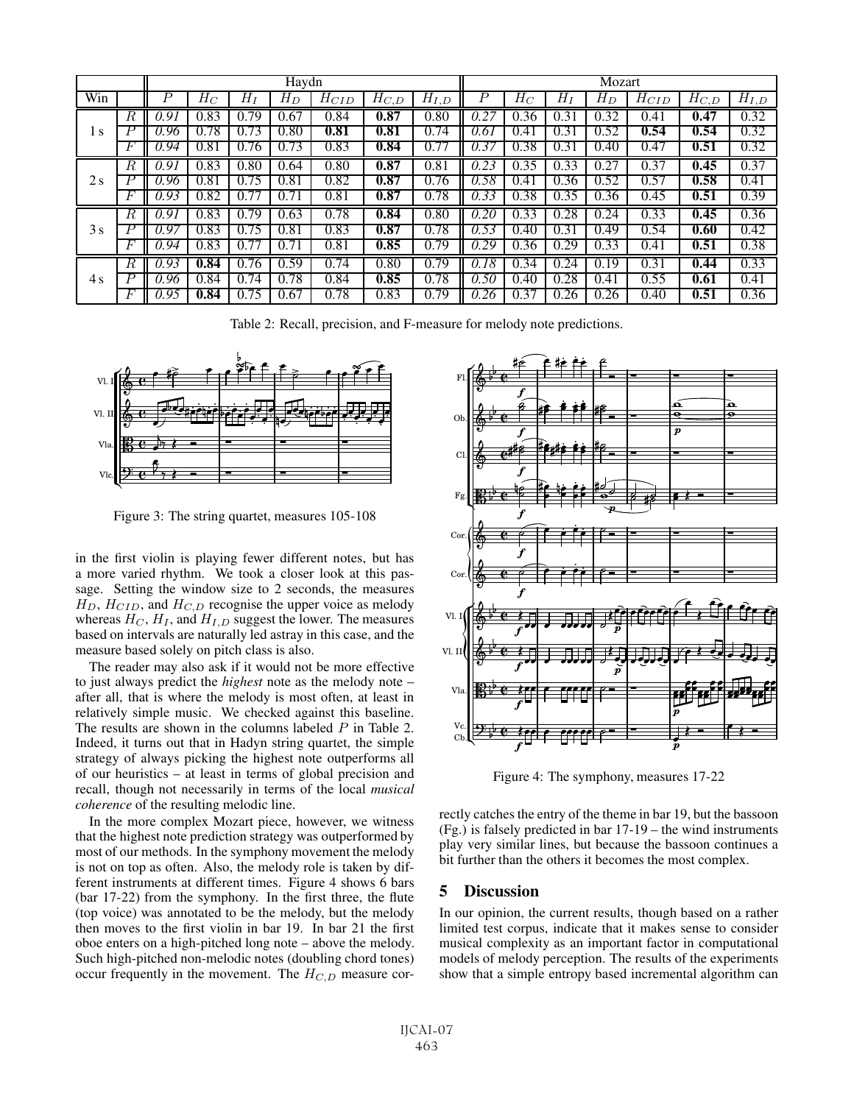|     |                  | Haydn             |       |       |       |                        |                       |           | Mozart |       |       |       |                       |                             |           |
|-----|------------------|-------------------|-------|-------|-------|------------------------|-----------------------|-----------|--------|-------|-------|-------|-----------------------|-----------------------------|-----------|
| Win |                  | $\boldsymbol{P}$  | $H_C$ | $H_I$ | $H_D$ | $\overline{H}_{CI\_D}$ | $H_{C,\underline{D}}$ | $H_{I,D}$ | Р      | $H_C$ | $H_I$ | $H_D$ | $H_{C\underline{ID}}$ | $\bar{H}_{C,\underline{D}}$ | $H_{I,D}$ |
| l s | $\boldsymbol{R}$ | 0.91              | 0.83  | 0.79  | 0.67  | 0.84                   | 0.87                  | 0.80      | 0.27   | 0.36  | 0.31  | 0.32  | 0.41                  | 0.47                        | 0.32      |
|     |                  | 0.96              | 0.78  | 0.73  | 0.80  | 0.81                   | 0.81                  | 0.74      | 0.61   | 0.41  | 0.3   | 0.52  | 0.54                  | 0.54                        | 0.32      |
|     | $\boldsymbol{F}$ | 0.94              | 0.81  | 0.76  | 0.73  | 0.83                   | 0.84                  | 0.77      | 0.37   | 0.38  | 0.31  | 0.40  | 0.47                  | 0.51                        | 0.32      |
| 2s  | $\boldsymbol{R}$ | 0.91              | 0.83  | 0.80  | 0.64  | 0.80                   | 0.87                  | 0.81      | 0.23   | 0.35  | 0.33  | 0.27  | 0.37                  | 0.45                        | 0.37      |
|     | P                | 0.96              | 0.81  | 0.75  | 0.81  | 0.82                   | 0.87                  | 0.76      | 0.58   | 0.41  | 0.36  | 0.52  | 0.57                  | 0.58                        | 0.41      |
|     | F                | 0.93              | 0.82  | 0.77  | 0.71  | 0.81                   | 0.87                  | 0.78      | 0.33   | 0.38  | 0.35  | 0.36  | 0.45                  | 0.51                        | 0.39      |
| 3s  | $\boldsymbol{R}$ | $\overline{0.91}$ | 0.83  | 0.79  | 0.63  | 0.78                   | 0.84                  | 0.80      | 0.20   | 0.33  | 0.28  | 0.24  | 0.33                  | 0.45                        | 0.36      |
|     | D                | 0.97              | 0.83  | 0.75  | 0.81  | 0.83                   | 0.87                  | 0.78      | 0.53   | 0.40  | 0.31  | 0.49  | 0.54                  | 0.60                        | 0.42      |
|     | F                | 0.94              | 0.83  | 0.77  | 0.71  | 0.81                   | 0.85                  | 0.79      | 0.29   | 0.36  | 0.29  | 0.33  | 0.41                  | 0.51                        | 0.38      |
| 4 s | $\boldsymbol{R}$ | 0.93              | 0.84  | 0.76  | 0.59  | 0.74                   | 0.80                  | 0.79      | 0.18   | 0.34  | 0.24  | 0.19  | 0.31                  | 0.44                        | 0.33      |
|     | D                | 0.96              | 0.84  | 0.74  | 0.78  | 0.84                   | 0.85                  | 0.78      | 0.50   | 0.40  | 0.28  | 0.41  | 0.55                  | 0.61                        | 0.41      |
|     | F                | 0.95              | 0.84  | 0.75  | 0.67  | 0.78                   | 0.83                  | 0.79      | 0.26   | 0.37  | 0.26  | 0.26  | 0.40                  | 0.51                        | 0.36      |

Table 2: Recall, precision, and F-measure for melody note predictions.



Figure 3: The string quartet, measures 105-108

in the first violin is playing fewer different notes, but has a more varied rhythm. We took a closer look at this passage. Setting the window size to 2 seconds, the measures  $H_D$ ,  $H_{CID}$ , and  $H_{C,D}$  recognise the upper voice as melody whereas  $H_C$ ,  $H_I$ , and  $H_{I,D}$  suggest the lower. The measures based on intervals are naturally led astray in this case, and the measure based solely on pitch class is also.

The reader may also ask if it would not be more effective to just always predict the *highest* note as the melody note – after all, that is where the melody is most often, at least in relatively simple music. We checked against this baseline. The results are shown in the columns labeled P in Table 2. Indeed, it turns out that in Hadyn string quartet, the simple strategy of always picking the highest note outperforms all of our heuristics – at least in terms of global precision and recall, though not necessarily in terms of the local *musical coherence* of the resulting melodic line.

In the more complex Mozart piece, however, we witness that the highest note prediction strategy was outperformed by most of our methods. In the symphony movement the melody is not on top as often. Also, the melody role is taken by different instruments at different times. Figure 4 shows 6 bars (bar 17-22) from the symphony. In the first three, the flute (top voice) was annotated to be the melody, but the melody then moves to the first violin in bar 19. In bar 21 the first oboe enters on a high-pitched long note – above the melody. Such high-pitched non-melodic notes (doubling chord tones) occur frequently in the movement. The  $H_{C,D}$  measure cor-



Figure 4: The symphony, measures 17-22

rectly catches the entry of the theme in bar 19, but the bassoon (Fg.) is falsely predicted in bar 17-19 – the wind instruments play very similar lines, but because the bassoon continues a bit further than the others it becomes the most complex.

## 5 Discussion

In our opinion, the current results, though based on a rather limited test corpus, indicate that it makes sense to consider musical complexity as an important factor in computational models of melody perception. The results of the experiments show that a simple entropy based incremental algorithm can